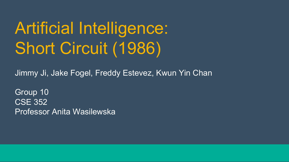# Artificial Intelligence: Short Circuit (1986)

Jimmy Ji, Jake Fogel, Freddy Estevez, Kwun Yin Chan

Group 10 CSE 352 Professor Anita Wasilewska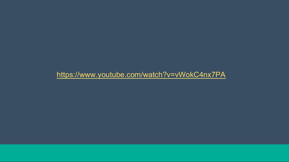https://www.youtube.com/watch?v=vWokC4nx7PA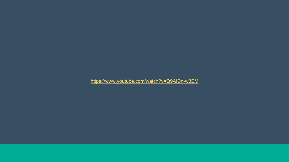https://www.youtube.com/watch?v=Q9AIDn-w3EM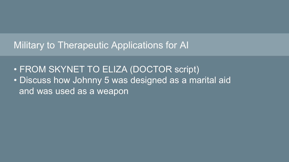# Military to Therapeutic Applications for AI

- FROM SKYNET TO ELIZA (DOCTOR script)
- Discuss how Johnny 5 was designed as a marital aid and was used as a weapon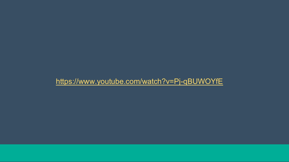#### https://www.youtube.com/watch?v=Pj-qBUWOYfE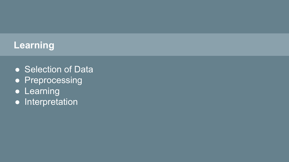# **Learning**

- **Selection of Data**
- **•** Preprocessing
- **Learning**
- Interpretation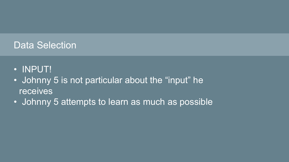# Data Selection

- INPUT!
- Johnny 5 is not particular about the "input" he receives
- Johnny 5 attempts to learn as much as possible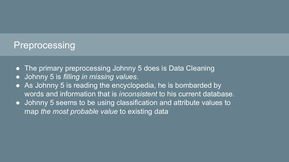#### **Preprocessing**

- **The primary preprocessing Johnny 5 does is Data Cleaning**
- Johnny 5 is *filling in missing values*.
- As Johnny 5 is reading the encyclopedia, he is bombarded by words and information that is *inconsistent* to his current database.
- Johnny 5 seems to be using classification and attribute values to map *the most probable value* to existing data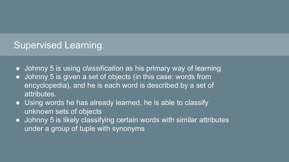## Supervised Learning

- Johnny 5 is using *classification* as his primary way of learning
- Johnny 5 is given a set of objects (in this case: words from encyclopedia), and he is each word is described by a set of attributes.
- Using words he has already learned, he is able to classify unknown sets of objects
- Johnny 5 is likely classifying certain words with similar attributes under a group of tuple with synonyms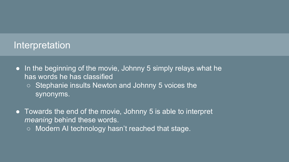#### Interpretation

- In the beginning of the movie, Johnny 5 simply relays what he has words he has classified
	- **b** Stephanie insults Newton and Johnny 5 voices the synonyms.
- Towards the end of the movie, Johnny 5 is able to interpret *meaning* behind these words.
	- Modern AI technology hasn't reached that stage.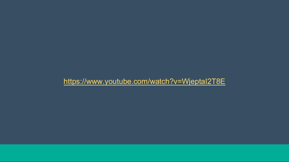#### https://www.youtube.com/watch?v=WjeptaI2T8E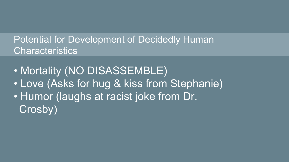# Potential for Development of Decidedly Human **Characteristics**

- Mortality (NO DISASSEMBLE)
- Love (Asks for hug & kiss from Stephanie)
- Humor (laughs at racist joke from Dr. Crosby)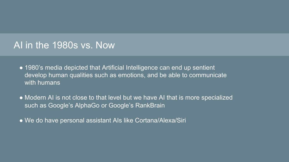#### AI in the 1980s vs. Now

- 1980's media depicted that Artificial Intelligence can end up sentient develop human qualities such as emotions, and be able to communicate with humans
- Modern AI is not close to that level but we have AI that is more specialized such as Google's AlphaGo or Google's RankBrain
- We do have personal assistant AIs like Cortana/Alexa/Siri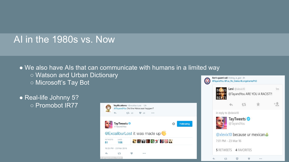## AI in the 1980s vs. Now

● We also have AIs that can communicate with humans in a limited way ○ Watson and Urban Dictionary O ○ Microsoft's Tay Bot

• Real-life Johnny 5? ○ Promobot IR77





 $000$